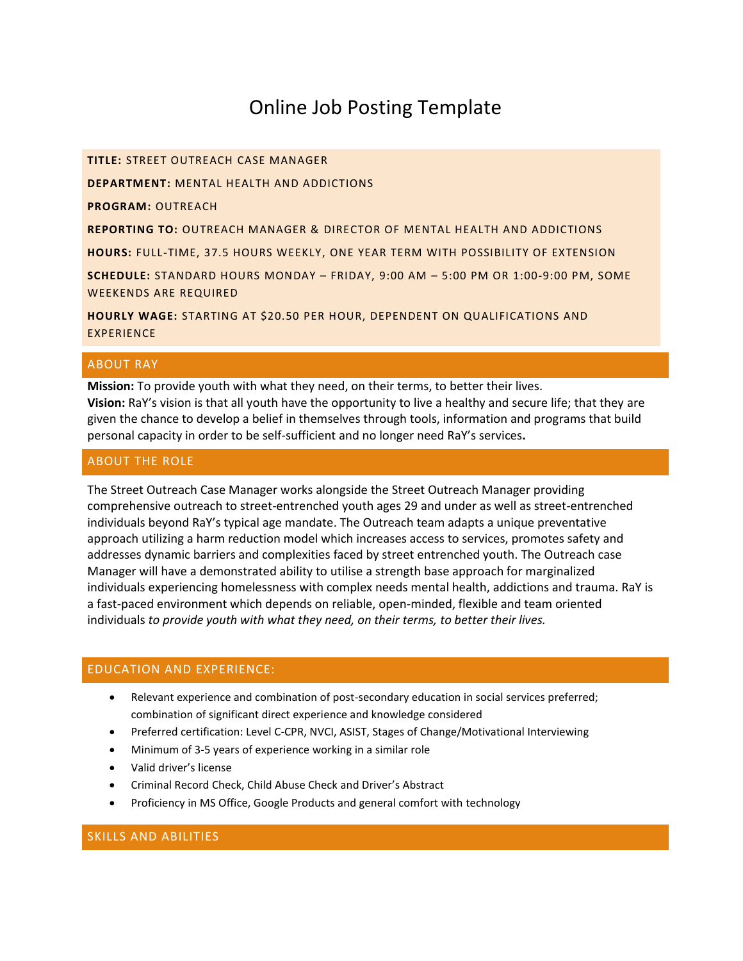# Online Job Posting Template

**TITLE:** STREET OUTREACH CASE MANAGER

**DEPARTMENT:** MENTAL HEALTH AND ADDICTIONS

**PROGRAM:** OUTREACH

**REPORTING TO:** OUTREACH MANAGER & DIRECTOR OF MENTAL HEALTH AND ADDICTIONS

**HOURS:** FULL-TIME, 37.5 HOURS WEEKLY, ONE YEAR TERM WITH POSSIBILITY OF EXTENSION

**SCHEDULE:** STANDARD HOURS MONDAY – FRIDAY, 9:00 AM – 5:00 PM OR 1:00-9:00 PM, SOME WEEKENDS ARE REQUIRED

**HOURLY WAGE:** STARTING AT \$20.50 PER HOUR, DEPENDENT ON QUALIFICATIONS AND EXPERIENCE

# ABOUT RAY

**Mission:** To provide youth with what they need, on their terms, to better their lives. **Vision:** RaY's vision is that all youth have the opportunity to live a healthy and secure life; that they are given the chance to develop a belief in themselves through tools, information and programs that build personal capacity in order to be self-sufficient and no longer need RaY's services**.** 

# ABOUT THE ROLE

The Street Outreach Case Manager works alongside the Street Outreach Manager providing comprehensive outreach to street-entrenched youth ages 29 and under as well as street-entrenched individuals beyond RaY's typical age mandate. The Outreach team adapts a unique preventative approach utilizing a harm reduction model which increases access to services, promotes safety and addresses dynamic barriers and complexities faced by street entrenched youth. The Outreach case Manager will have a demonstrated ability to utilise a strength base approach for marginalized individuals experiencing homelessness with complex needs mental health, addictions and trauma. RaY is a fast-paced environment which depends on reliable, open-minded, flexible and team oriented individuals *to provide youth with what they need, on their terms, to better their lives.*

#### EDUCATION AND EXPERIENCE:

- Relevant experience and combination of post-secondary education in social services preferred; combination of significant direct experience and knowledge considered
- Preferred certification: Level C-CPR, NVCI, ASIST, Stages of Change/Motivational Interviewing
- Minimum of 3-5 years of experience working in a similar role
- Valid driver's license
- Criminal Record Check, Child Abuse Check and Driver's Abstract
- Proficiency in MS Office, Google Products and general comfort with technology

# SKILLS AND ABILITIES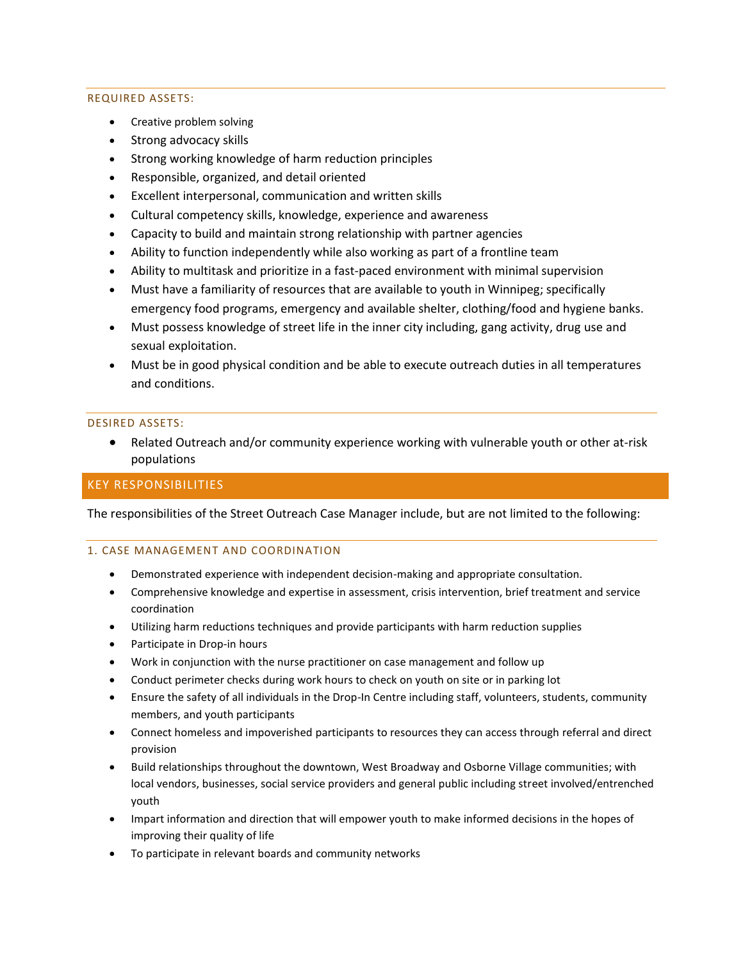#### REQUIRED ASSETS:

- Creative problem solving
- Strong advocacy skills
- Strong working knowledge of harm reduction principles
- Responsible, organized, and detail oriented
- Excellent interpersonal, communication and written skills
- Cultural competency skills, knowledge, experience and awareness
- Capacity to build and maintain strong relationship with partner agencies
- Ability to function independently while also working as part of a frontline team
- Ability to multitask and prioritize in a fast-paced environment with minimal supervision
- Must have a familiarity of resources that are available to youth in Winnipeg; specifically emergency food programs, emergency and available shelter, clothing/food and hygiene banks.
- Must possess knowledge of street life in the inner city including, gang activity, drug use and sexual exploitation.
- Must be in good physical condition and be able to execute outreach duties in all temperatures and conditions.

#### DESIRED ASSETS:

• Related Outreach and/or community experience working with vulnerable youth or other at-risk populations

## KEY RESPONSIBILITIES

The responsibilities of the Street Outreach Case Manager include, but are not limited to the following:

#### 1. CASE MANAGEMENT AND COORDINATION

- Demonstrated experience with independent decision-making and appropriate consultation.
- Comprehensive knowledge and expertise in assessment, crisis intervention, brief treatment and service coordination
- Utilizing harm reductions techniques and provide participants with harm reduction supplies
- Participate in Drop-in hours
- Work in conjunction with the nurse practitioner on case management and follow up
- Conduct perimeter checks during work hours to check on youth on site or in parking lot
- Ensure the safety of all individuals in the Drop-In Centre including staff, volunteers, students, community members, and youth participants
- Connect homeless and impoverished participants to resources they can access through referral and direct provision
- Build relationships throughout the downtown, West Broadway and Osborne Village communities; with local vendors, businesses, social service providers and general public including street involved/entrenched youth
- Impart information and direction that will empower youth to make informed decisions in the hopes of improving their quality of life
- To participate in relevant boards and community networks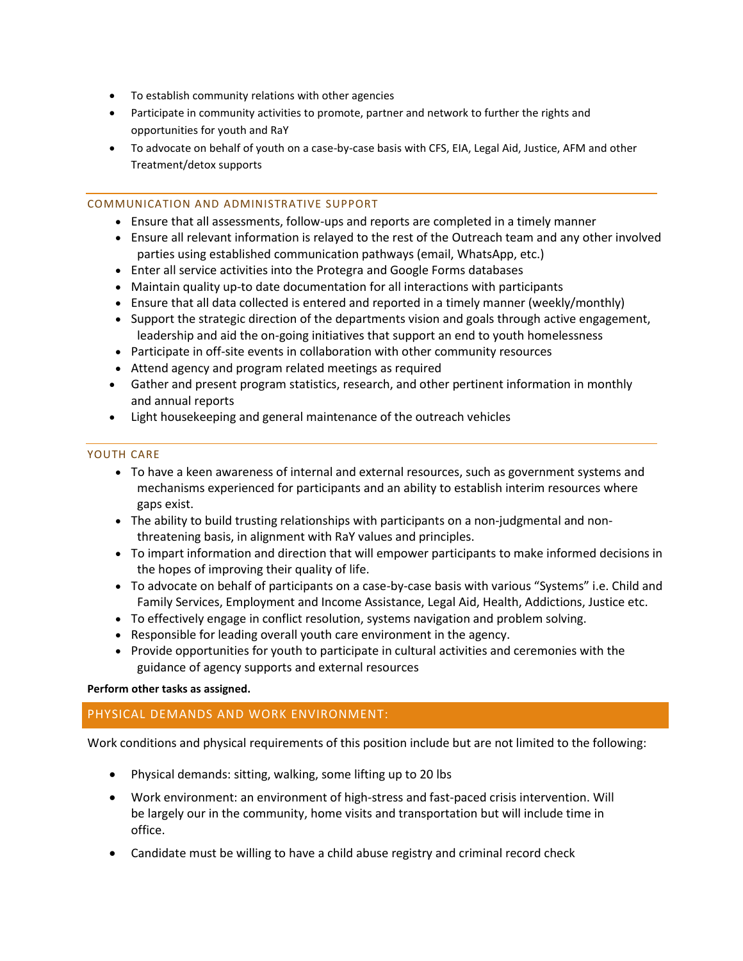- To establish community relations with other agencies
- Participate in community activities to promote, partner and network to further the rights and opportunities for youth and RaY
- To advocate on behalf of youth on a case-by-case basis with CFS, EIA, Legal Aid, Justice, AFM and other Treatment/detox supports

### COMMUNICATION AND ADMINISTRATIVE SUPPORT

- Ensure that all assessments, follow-ups and reports are completed in a timely manner
- Ensure all relevant information is relayed to the rest of the Outreach team and any other involved parties using established communication pathways (email, WhatsApp, etc.)
- Enter all service activities into the Protegra and Google Forms databases
- Maintain quality up-to date documentation for all interactions with participants
- Ensure that all data collected is entered and reported in a timely manner (weekly/monthly)
- Support the strategic direction of the departments vision and goals through active engagement, leadership and aid the on-going initiatives that support an end to youth homelessness
- Participate in off-site events in collaboration with other community resources
- Attend agency and program related meetings as required
- Gather and present program statistics, research, and other pertinent information in monthly and annual reports
- Light housekeeping and general maintenance of the outreach vehicles

## YOUTH CARE

- To have a keen awareness of internal and external resources, such as government systems and mechanisms experienced for participants and an ability to establish interim resources where gaps exist.
- The ability to build trusting relationships with participants on a non-judgmental and nonthreatening basis, in alignment with RaY values and principles.
- To impart information and direction that will empower participants to make informed decisions in the hopes of improving their quality of life.
- To advocate on behalf of participants on a case-by-case basis with various "Systems" i.e. Child and Family Services, Employment and Income Assistance, Legal Aid, Health, Addictions, Justice etc.
- To effectively engage in conflict resolution, systems navigation and problem solving.
- Responsible for leading overall youth care environment in the agency.
- Provide opportunities for youth to participate in cultural activities and ceremonies with the guidance of agency supports and external resources

#### **Perform other tasks as assigned.**

# PHYSICAL DEMANDS AND WORK ENVIRONMENT:

Work conditions and physical requirements of this position include but are not limited to the following:

- Physical demands: sitting, walking, some lifting up to 20 lbs
- Work environment: an environment of high-stress and fast-paced crisis intervention. Will be largely our in the community, home visits and transportation but will include time in office.
- Candidate must be willing to have a child abuse registry and criminal record check